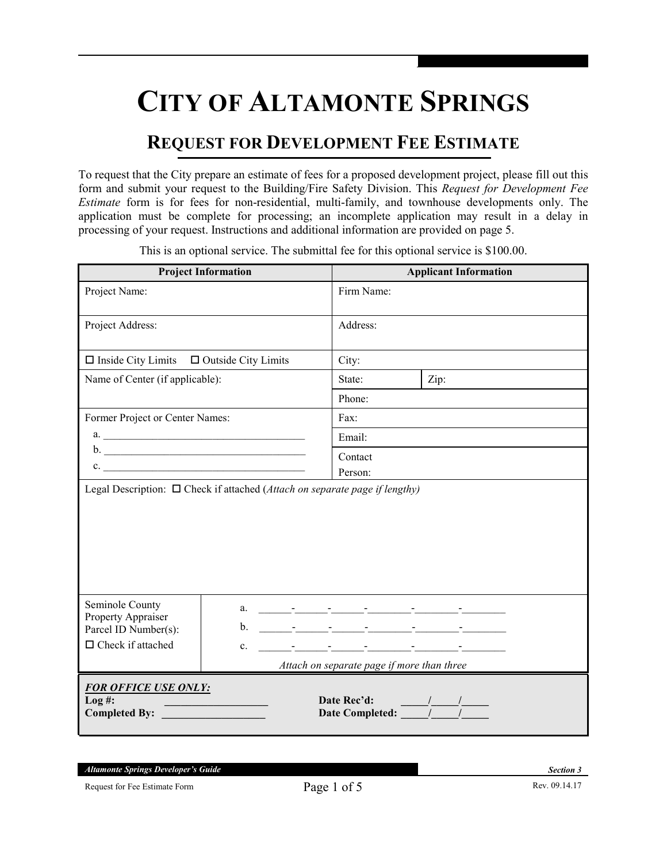# **CITY OF ALTAMONTE SPRINGS**

## **REQUEST FOR DEVELOPMENT FEE ESTIMATE**

To request that the City prepare an estimate of fees for a proposed development project, please fill out this form and submit your request to the Building/Fire Safety Division. This *Request for Development Fee Estimate* form is for fees for non-residential, multi-family, and townhouse developments only. The application must be complete for processing; an incomplete application may result in a delay in processing of your request. Instructions and additional information are provided on page 5.

**Project Information Applicant Information** Project Name: Firm Name: Project Address: Address:  $\Box$  Inside City Limits  $\Box$  Outside City Limits  $\Box$  City: Name of Center (if applicable): State: <br> | State: <br> | Zip: Phone: Former Project or Center Names: a. \_\_\_\_\_\_\_\_\_\_\_\_\_\_\_\_\_\_\_\_\_\_\_\_\_\_\_\_\_\_\_\_\_\_\_\_\_  $b.$  $c.$ Fax: Email: Contact Person: Legal Description: □ Check if attached (*Attach on separate page if lengthy*) Seminole County Property Appraiser Parcel ID Number(s):  $\Box$  Check if attached a. \_\_\_\_\_\_-\_\_\_\_\_\_-\_\_\_\_\_\_-\_\_\_\_\_\_\_\_-\_\_\_\_\_\_\_\_-\_\_\_\_\_\_\_\_ b. \_\_\_\_\_\_-\_\_\_\_\_\_-\_\_\_\_\_\_-\_\_\_\_\_\_\_\_-\_\_\_\_\_\_\_\_-\_\_\_\_\_\_\_\_  $c.$   $\Box$  *Attach on separate page if more than three FOR OFFICE USE ONLY:*<br>Log #: **Log #: \_\_\_\_\_\_\_\_\_\_\_\_\_\_\_\_\_\_\_ Date Rec'd: \_\_\_\_\_/\_\_\_\_\_/\_\_\_\_\_ Completed By: \_\_\_\_\_\_\_\_\_\_\_\_\_\_\_\_\_\_\_ Date Completed: \_\_\_\_\_/\_\_\_\_\_/\_\_\_\_\_** 

This is an optional service. The submittal fee for this optional service is \$100.00.

*Altamonte Springs Developer's Guide ------------------------------------------------------- Section 3*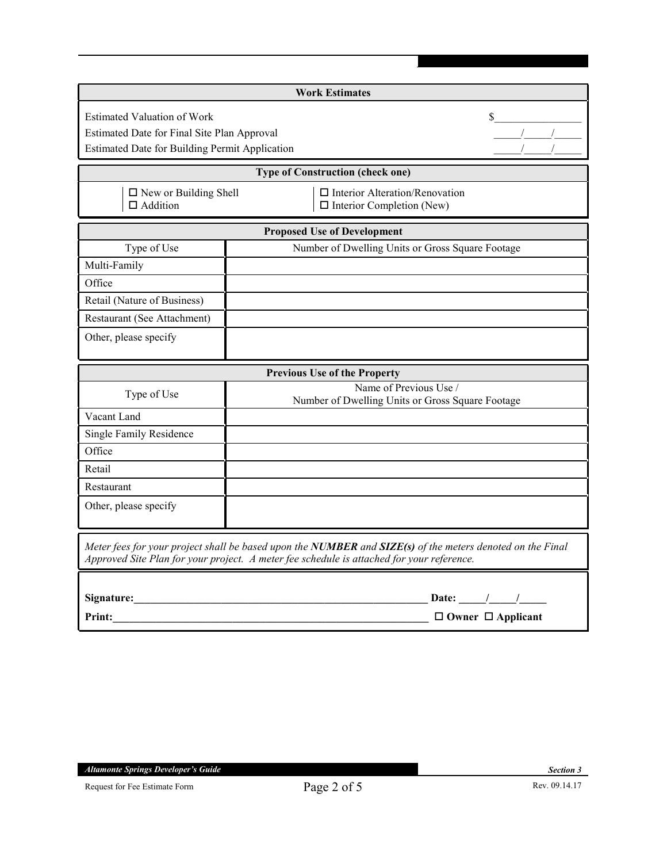| <b>Work Estimates</b>                                                                                                               |                                                                                                                                                                                                        |  |  |  |  |
|-------------------------------------------------------------------------------------------------------------------------------------|--------------------------------------------------------------------------------------------------------------------------------------------------------------------------------------------------------|--|--|--|--|
| <b>Estimated Valuation of Work</b><br>Estimated Date for Final Site Plan Approval<br>Estimated Date for Building Permit Application |                                                                                                                                                                                                        |  |  |  |  |
| <b>Type of Construction (check one)</b>                                                                                             |                                                                                                                                                                                                        |  |  |  |  |
| $\Box$ New or Building Shell<br>$\Box$ Addition                                                                                     | $\Box$ Interior Alteration/Renovation<br>$\Box$ Interior Completion (New)                                                                                                                              |  |  |  |  |
|                                                                                                                                     | <b>Proposed Use of Development</b>                                                                                                                                                                     |  |  |  |  |
| Type of Use                                                                                                                         | Number of Dwelling Units or Gross Square Footage                                                                                                                                                       |  |  |  |  |
| Multi-Family                                                                                                                        |                                                                                                                                                                                                        |  |  |  |  |
| Office                                                                                                                              |                                                                                                                                                                                                        |  |  |  |  |
| Retail (Nature of Business)                                                                                                         |                                                                                                                                                                                                        |  |  |  |  |
| Restaurant (See Attachment)                                                                                                         |                                                                                                                                                                                                        |  |  |  |  |
| Other, please specify                                                                                                               |                                                                                                                                                                                                        |  |  |  |  |
|                                                                                                                                     | <b>Previous Use of the Property</b>                                                                                                                                                                    |  |  |  |  |
| Type of Use                                                                                                                         | Name of Previous Use /<br>Number of Dwelling Units or Gross Square Footage                                                                                                                             |  |  |  |  |
| Vacant Land                                                                                                                         |                                                                                                                                                                                                        |  |  |  |  |
| Single Family Residence                                                                                                             |                                                                                                                                                                                                        |  |  |  |  |
| Office                                                                                                                              |                                                                                                                                                                                                        |  |  |  |  |
| Retail                                                                                                                              |                                                                                                                                                                                                        |  |  |  |  |
| Restaurant                                                                                                                          |                                                                                                                                                                                                        |  |  |  |  |
| Other, please specify                                                                                                               |                                                                                                                                                                                                        |  |  |  |  |
|                                                                                                                                     | Meter fees for your project shall be based upon the NUMBER and SIZE(s) of the meters denoted on the Final<br>Approved Site Plan for your project. A meter fee schedule is attached for your reference. |  |  |  |  |
|                                                                                                                                     | Date: $\frac{\frac{1}{2} \left( \frac{1}{2} \right)^{n} \left( \frac{1}{2} \right)^{n}}{n!}$                                                                                                           |  |  |  |  |
| <b>Print:</b>                                                                                                                       | $\Box$ Owner $\Box$ Applicant                                                                                                                                                                          |  |  |  |  |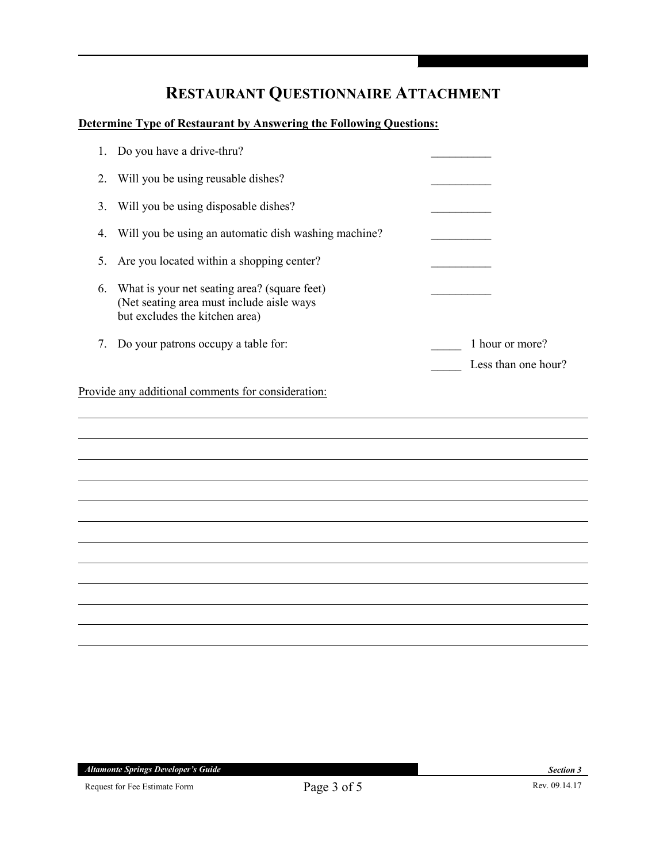## **RESTAURANT QUESTIONNAIRE ATTACHMENT**

#### **Determine Type of Restaurant by Answering the Following Questions:**

| Less than one hour? |
|---------------------|
|                     |
|                     |
|                     |
|                     |
|                     |
|                     |
|                     |
|                     |
|                     |
|                     |
|                     |
|                     |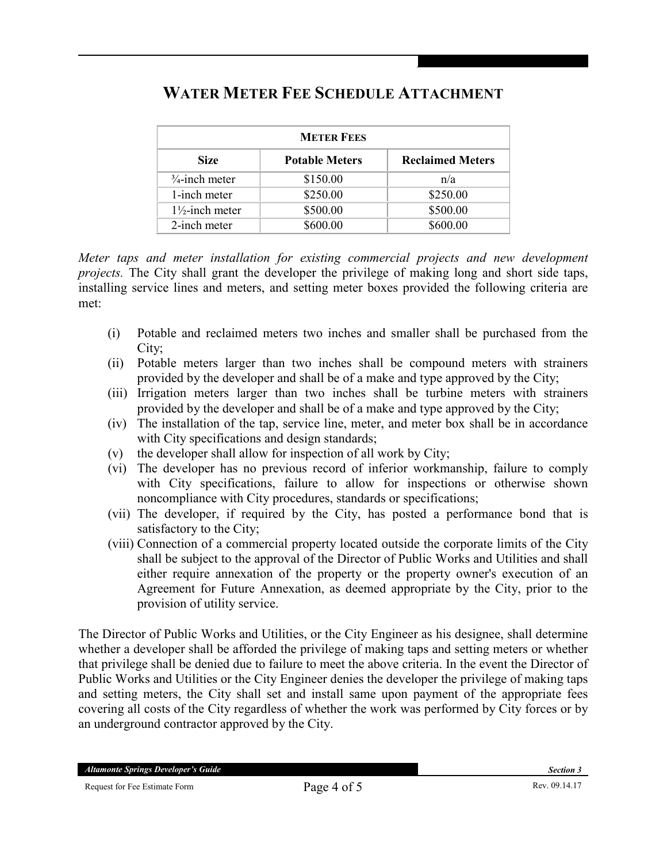| <b>METER FEES</b>          |                       |                         |  |
|----------------------------|-----------------------|-------------------------|--|
| <b>Size</b>                | <b>Potable Meters</b> | <b>Reclaimed Meters</b> |  |
| $\frac{3}{4}$ -inch meter  | \$150.00              | n/a                     |  |
| 1-inch meter               | \$250.00              | \$250.00                |  |
| $1\frac{1}{2}$ -inch meter | \$500.00              | \$500.00                |  |
| 2-inch meter               | \$600.00              | \$600.00                |  |

### **WATER METER FEE SCHEDULE ATTACHMENT**

*Meter taps and meter installation for existing commercial projects and new development projects.* The City shall grant the developer the privilege of making long and short side taps, installing service lines and meters, and setting meter boxes provided the following criteria are met:

- (i) Potable and reclaimed meters two inches and smaller shall be purchased from the City;
- (ii) Potable meters larger than two inches shall be compound meters with strainers provided by the developer and shall be of a make and type approved by the City;
- (iii) Irrigation meters larger than two inches shall be turbine meters with strainers provided by the developer and shall be of a make and type approved by the City;
- (iv) The installation of the tap, service line, meter, and meter box shall be in accordance with City specifications and design standards;
- (v) the developer shall allow for inspection of all work by City;
- (vi) The developer has no previous record of inferior workmanship, failure to comply with City specifications, failure to allow for inspections or otherwise shown noncompliance with City procedures, standards or specifications;
- (vii) The developer, if required by the City, has posted a performance bond that is satisfactory to the City;
- (viii) Connection of a commercial property located outside the corporate limits of the City shall be subject to the approval of the Director of Public Works and Utilities and shall either require annexation of the property or the property owner's execution of an Agreement for Future Annexation, as deemed appropriate by the City, prior to the provision of utility service.

The Director of Public Works and Utilities, or the City Engineer as his designee, shall determine whether a developer shall be afforded the privilege of making taps and setting meters or whether that privilege shall be denied due to failure to meet the above criteria. In the event the Director of Public Works and Utilities or the City Engineer denies the developer the privilege of making taps and setting meters, the City shall set and install same upon payment of the appropriate fees covering all costs of the City regardless of whether the work was performed by City forces or by an underground contractor approved by the City.

*Altamonte Springs Developer's Guide ------------------------------------------------------- Section 3*